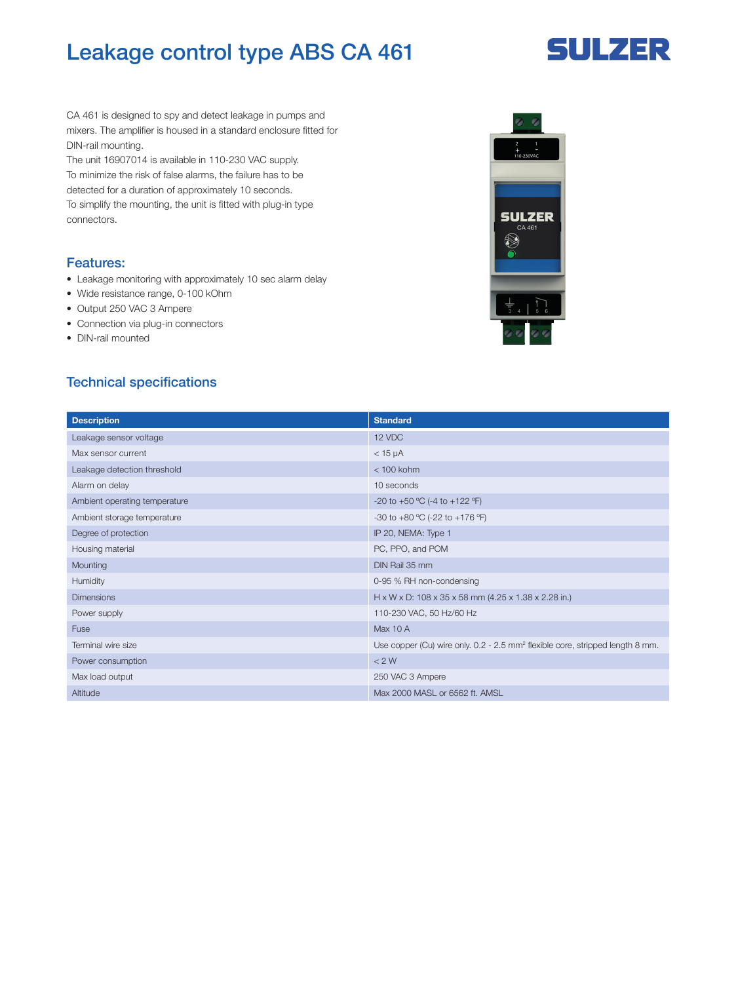## Leakage control type ABS CA 461

# **SULZER**

CA 461 is designed to spy and detect leakage in pumps and mixers. The amplifier is housed in a standard enclosure fitted for DIN-rail mounting.

The unit 16907014 is available in 110-230 VAC supply. To minimize the risk of false alarms, the failure has to be detected for a duration of approximately 10 seconds. To simplify the mounting, the unit is fitted with plug-in type connectors.

#### Features:

- Leakage monitoring with approximately 10 sec alarm delay
- Wide resistance range, 0-100 kOhm
- Output 250 VAC 3 Ampere
- Connection via plug-in connectors
- DIN-rail mounted

#### Technical specifications

| <b>Description</b>            | <b>Standard</b>                                                                           |
|-------------------------------|-------------------------------------------------------------------------------------------|
| Leakage sensor voltage        | 12 VDC                                                                                    |
| Max sensor current            | $<$ 15 $\mu$ A                                                                            |
| Leakage detection threshold   | $<$ 100 kohm                                                                              |
| Alarm on delay                | 10 seconds                                                                                |
| Ambient operating temperature | -20 to +50 °C (-4 to +122 °F)                                                             |
| Ambient storage temperature   | -30 to +80 °C (-22 to +176 °F)                                                            |
| Degree of protection          | IP 20, NEMA: Type 1                                                                       |
| Housing material              | PC, PPO, and POM                                                                          |
| Mounting                      | DIN Rail 35 mm                                                                            |
| Humidity                      | 0-95 % RH non-condensing                                                                  |
| <b>Dimensions</b>             | $H \times W \times D$ : 108 x 35 x 58 mm (4.25 x 1.38 x 2.28 in.)                         |
| Power supply                  | 110-230 VAC, 50 Hz/60 Hz                                                                  |
| Fuse                          | Max 10 A                                                                                  |
| Terminal wire size            | Use copper (Cu) wire only. 0.2 - 2.5 mm <sup>2</sup> flexible core, stripped length 8 mm. |
| Power consumption             | < 2 W                                                                                     |
| Max load output               | 250 VAC 3 Ampere                                                                          |
| Altitude                      | Max 2000 MASL or 6562 ft. AMSL                                                            |